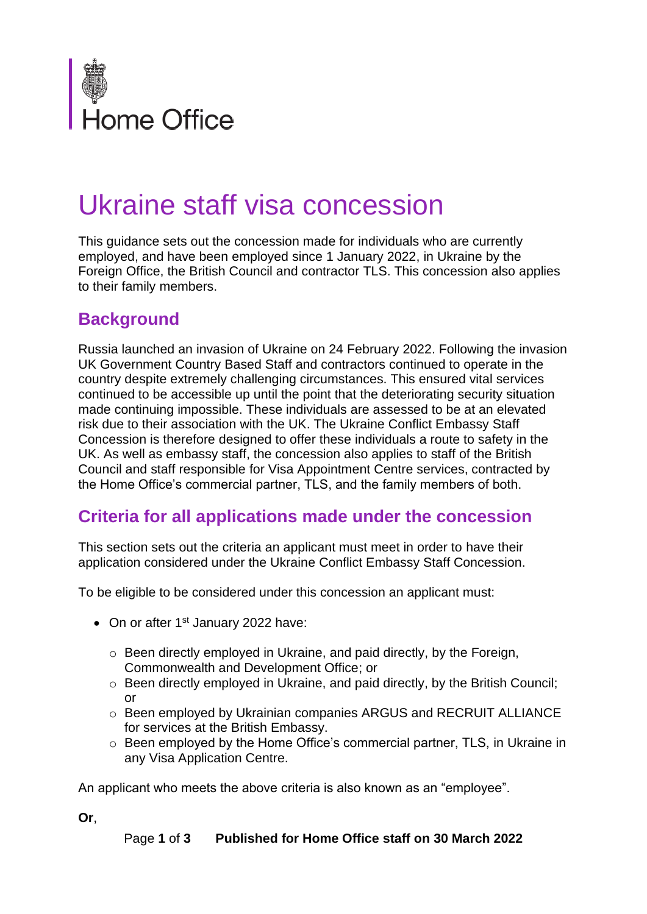

## Ukraine staff visa concession

This guidance sets out the concession made for individuals who are currently employed, and have been employed since 1 January 2022, in Ukraine by the Foreign Office, the British Council and contractor TLS. This concession also applies to their family members.

## **Background**

Russia launched an invasion of Ukraine on 24 February 2022. Following the invasion UK Government Country Based Staff and contractors continued to operate in the country despite extremely challenging circumstances. This ensured vital services continued to be accessible up until the point that the deteriorating security situation made continuing impossible. These individuals are assessed to be at an elevated risk due to their association with the UK. The Ukraine Conflict Embassy Staff Concession is therefore designed to offer these individuals a route to safety in the UK. As well as embassy staff, the concession also applies to staff of the British Council and staff responsible for Visa Appointment Centre services, contracted by the Home Office's commercial partner, TLS, and the family members of both.

## **Criteria for all applications made under the concession**

This section sets out the criteria an applicant must meet in order to have their application considered under the Ukraine Conflict Embassy Staff Concession.

To be eligible to be considered under this concession an applicant must:

- On or after 1<sup>st</sup> January 2022 have:
	- o Been directly employed in Ukraine, and paid directly, by the Foreign, Commonwealth and Development Office; or
	- o Been directly employed in Ukraine, and paid directly, by the British Council; or
	- o Been employed by Ukrainian companies ARGUS and RECRUIT ALLIANCE for services at the British Embassy.
	- o Been employed by the Home Office's commercial partner, TLS, in Ukraine in any Visa Application Centre.

An applicant who meets the above criteria is also known as an "employee".

**Or**,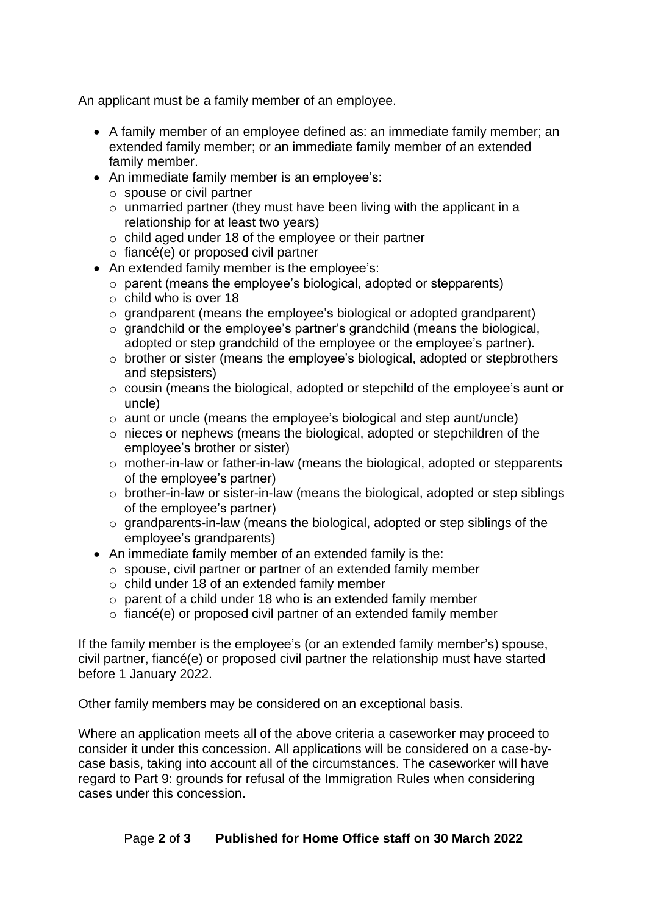An applicant must be a family member of an employee.

- A family member of an employee defined as: an immediate family member; an extended family member; or an immediate family member of an extended family member.
- An immediate family member is an employee's:
	- o spouse or civil partner
	- $\circ$  unmarried partner (they must have been living with the applicant in a relationship for at least two years)
	- $\circ$  child aged under 18 of the employee or their partner
	- $\circ$  fiancé(e) or proposed civil partner
- An extended family member is the employee's:
	- o parent (means the employee's biological, adopted or stepparents)
	- $\circ$  child who is over 18
	- o grandparent (means the employee's biological or adopted grandparent)
	- $\circ$  grandchild or the employee's partner's grandchild (means the biological, adopted or step grandchild of the employee or the employee's partner).
	- o brother or sister (means the employee's biological, adopted or stepbrothers and stepsisters)
	- o cousin (means the biological, adopted or stepchild of the employee's aunt or uncle)
	- o aunt or uncle (means the employee's biological and step aunt/uncle)
	- o nieces or nephews (means the biological, adopted or stepchildren of the employee's brother or sister)
	- o mother-in-law or father-in-law (means the biological, adopted or stepparents of the employee's partner)
	- o brother-in-law or sister-in-law (means the biological, adopted or step siblings of the employee's partner)
	- o grandparents-in-law (means the biological, adopted or step siblings of the employee's grandparents)
- An immediate family member of an extended family is the:
	- o spouse, civil partner or partner of an extended family member
	- o child under 18 of an extended family member
	- $\circ$  parent of a child under 18 who is an extended family member
	- o fiancé(e) or proposed civil partner of an extended family member

If the family member is the employee's (or an extended family member's) spouse, civil partner, fiancé(e) or proposed civil partner the relationship must have started before 1 January 2022.

Other family members may be considered on an exceptional basis.

Where an application meets all of the above criteria a caseworker may proceed to consider it under this concession. All applications will be considered on a case-bycase basis, taking into account all of the circumstances. The caseworker will have regard to Part 9: grounds for refusal of the Immigration Rules when considering cases under this concession.